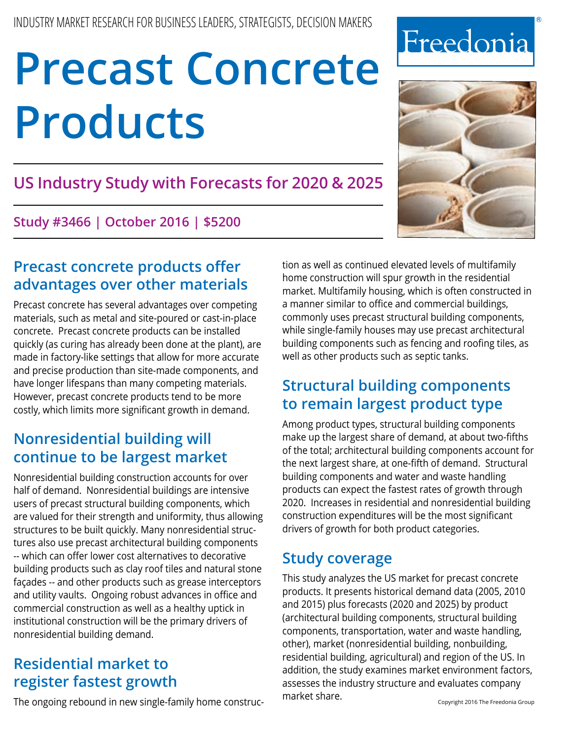# **US Industry Study with Forecasts for 2020 & 2025**

**Study #3466 | October 2016 | \$5200**

# **Precast concrete products offer advantages over other materials**

Precast concrete has several advantages over competing materials, such as metal and site-poured or cast-in-place concrete. Precast concrete products can be installed quickly (as curing has already been done at the plant), are made in factory-like settings that allow for more accurate and precise production than site-made components, and have longer lifespans than many competing materials. However, precast concrete products tend to be more costly, which limits more significant growth in demand.

# **Nonresidential building will continue to be largest market**

Nonresidential building construction accounts for over half of demand. Nonresidential buildings are intensive users of precast structural building components, which are valued for their strength and uniformity, thus allowing structures to be built quickly. Many nonresidential structures also use precast architectural building components -- which can offer lower cost alternatives to decorative building products such as clay roof tiles and natural stone façades -- and other products such as grease interceptors and utility vaults. Ongoing robust advances in office and commercial construction as well as a healthy uptick in institutional construction will be the primary drivers of nonresidential building demand.

# **Residential market to register fastest growth**

The ongoing rebound in new single-family home construc-

tion as well as continued elevated levels of multifamily home construction will spur growth in the residential market. Multifamily housing, which is often constructed in a manner similar to office and commercial buildings, commonly uses precast structural building components, while single-family houses may use precast architectural building components such as fencing and roofing tiles, as well as other products such as septic tanks.

# **Structural building components to remain largest product type**

Among product types, structural building components make up the largest share of demand, at about two-fifths of the total; architectural building components account for the next largest share, at one-fifth of demand. Structural building components and water and waste handling products can expect the fastest rates of growth through 2020. Increases in residential and nonresidential building construction expenditures will be the most significant drivers of growth for both product categories.

# **Study coverage**

This study analyzes the US market for precast concrete products. It presents historical demand data (2005, 2010 and 2015) plus forecasts (2020 and 2025) by product (architectural building components, structural building components, transportation, water and waste handling, other), market (nonresidential building, nonbuilding, residential building, agricultural) and region of the US. In addition, the study examines market environment factors, assesses the industry structure and evaluates company market share.



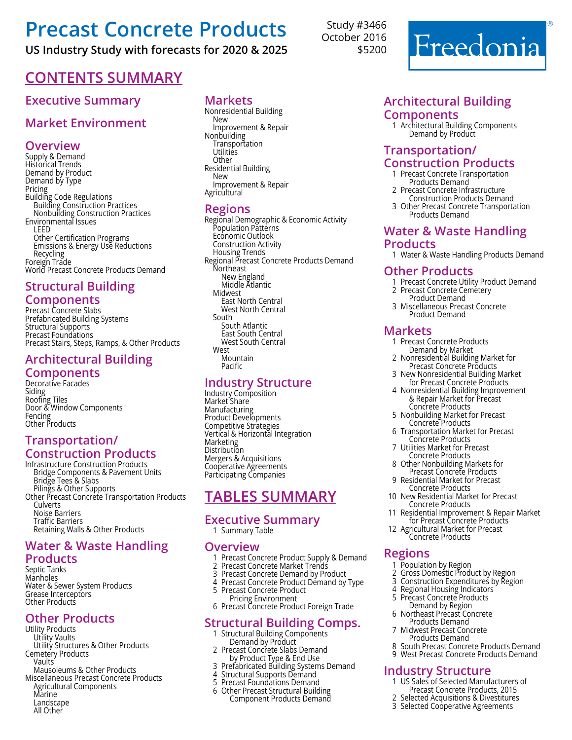## **US Industry Study with forecasts for 2020 & 2025**

# **Contents Summary**

## **Executive Summary**

## **Market Environment**

#### **Overview**

Supply & Demand Historical Trends Demand by Product Demand by Type Pricing Building Code Regulations Building Construction Practices Nonbuilding Construction Practices Environmental Issues LEED Other Certification Programs Emissions & Energy Use Reductions Recycling Foreign Trade World Precast Concrete Products Demand

#### **Structural Building Components**

Precast Concrete Slabs Prefabricated Building Systems Structural Supports Precast Foundations Precast Stairs, Steps, Ramps, & Other Products

## **Architectural Building**

#### **Components**

Decorative Facades Siding Roofing Tiles Door & Window Components Fencing Other Products

#### **Transportation/ Construction Products**

Infrastructure Construction Products Bridge Components & Pavement Units Bridge Tees & Slabs Pilings & Other Supports Other Precast Concrete Transportation Products Culverts Noise Barriers Traffic Barriers Retaining Walls & Other Products

#### **Water & Waste Handling Products**

Septic Tanks Manholes Water & Sewer System Products Grease Interceptors Other Products

#### **Other Products**

Utility Products Utility Vaults Utility Structures & Other Products Cemetery Products Vaults Mausoleums & Other Products Miscellaneous Precast Concrete Products Agricultural Components Marine Landscape All Other

#### **Markets**

Nonresidential Building New Improvement & Repair Nonbuilding **Transportation Utilities Other** Residential Building New Improvement & Repair **Agricultural** 

#### **Regions**

Regional Demographic & Economic Activity Population Patterns Economic Outlook Construction Activity Housing Trends Regional Precast Concrete Products Demand Northeast<br>New England<br>Middle Atlantic<br>Midwest East North Central<br>West North Central South South Atlantic East South Central West South Central<br>West Mountain Pacific

#### **Industry Structure**

Industry Composition Market Share Manufacturing Product Developments Competitive Strategies Vertical & Horizontal Integration **Marketing Distribution** Mergers & Acquisitions Cooperative Agreements Participating Companies

# **Tables summary**

## **Executive Summary**

1 Summary Table

#### **Overview**

- 1 Precast Concrete Product Supply & Demand<br>2 Precast Concrete Market Trends<br>3 Precast Concrete Demand by Product
- 2 Precast Concrete Market Trends
- 3 Precast Concrete Demand by Product
- 4 Precast Concrete Product Démand by Type<br>5 Precast Concrete Product Pricing Environment
- 6 Precast Concrete Product Foreign Trade

#### **Structural Building Comps.**

- 1 Structural Building Components Demand by Product
- 2 Precast Concrete Slabs Demand by Product Type & End Use
- 3 Prefabricated Building Systems Demand<br>4 Structural Supports Demand
- 4 Structural Supports Demand
- 5 Precast Foundations Demand
- 6 Other Precast Structural Building Component Products Demand

Study #3466 October 2016 \$5200



#### **Architectural Building Components**

<sup>1</sup> Architectural Building Components Demand by Product

#### **Transportation/ Construction Products**

- 1 Precast Concrete Transportation<br>Products Demand<br>2 Precast Concrete Infrastructure
- **2 Construction Products Demand<br>2 Other Precast Concrete Transporta**
- <sup>3</sup> Other Precast Concrete Transportation Products Demand

#### **Water & Waste Handling Products**

1 Water & Waste Handling Products Demand

#### **Other Products**

- 1 Precast Concrete Utility Product Demand
- <sup>2</sup> Precast Concrete Cemetery Product Demand
- <sup>3</sup> Miscellaneous Precast Concrete Product Demand

- **Markets**<br>1 Precast Concrete Products <sup>1</sup> Precast Concrete Products Demand by Market
	- <sup>2</sup> Nonresidential Building Market for Precast Concrete Products
	- <sup>3</sup> New Nonresidential Building Market for Precast Concrete Products
	- <sup>4</sup> Nonresidential Building Improvement & Repair Market for Precast Concrete Products
	- <sup>5</sup> Nonbuilding Market for Precast Concrete Products
	- <sup>6</sup> Transportation Market for Precast Concrete Products
	- <sup>7</sup> Utilities Market for Precast Concrete Products
	- <sup>8</sup> Other Nonbuilding Markets for Precast Concrete Products
	- <sup>9</sup> Residential Market for Precast Concrete Products
- <sup>10</sup> New Residential Market for Precast Concrete Products
- <sup>11</sup> Residential Improvement & Repair Market for Precast Concrete Products
- <sup>12</sup> Agricultural Market for Precast Concrete Products

#### **Regions**

- 1 Population by Region
- 2 Gross Domestic Product by Region
- 3 Construction Expenditures by Region<br>4. Regional Housing Indicators
- 4 Regional Housing Indicators <sup>5</sup> Precast Concrete Products Demand by Region
- <sup>6</sup> Northeast Precast Concrete Products Demand
- <sup>7</sup> Midwest Precast Concrete Products Demand
- South Precast Concrete Products Demand
- 9 West Precast Concrete Products Demand

#### **Industry Structure**

- 1 US Sales of Selected Manufacturers of
- Precast Concrete Products, 2015<br>2 Selected Acquisitions & Divestitures 2 Selected Acquisitions & Divestitures
- 3 Selected Cooperative Agreements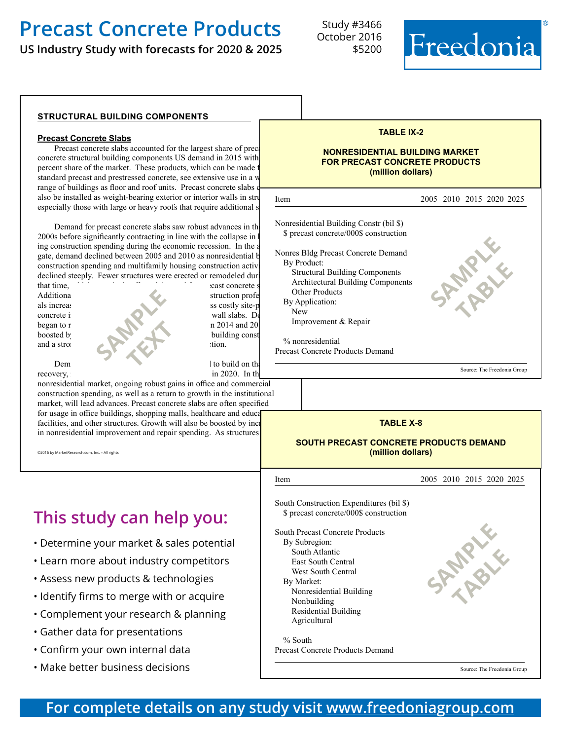**US Industry Study with forecasts for 2020 & 2025**

Study #3466 October 2016 \$5200



#### **structural building components**

#### **Precast Concrete Slabs**

Precast concrete slabs accounted for the largest share of prec concrete structural building components US demand in 2015 with percent share of the market. These products, which can be made standard precast and prestressed concrete, see extensive use in a v range of buildings as floor and roof units. Precast concrete slabs also be installed as weight-bearing exterior or interior walls in structures, especially those with large or heavy roofs that require additional s

Demand for precast concrete slabs saw robust advances in th 2000s before significantly contracting in line with the collapse in ing construction spending during the economic recession. In the a gate, demand declined between 2005 and 2010 as nonresidential b construction spending and multifamily housing construction activ declined steeply. Fewer structures were erected or remodeled dur

that time, which negatively affected demand for precast concrete Additionally, in an effort to cut expenses, some construction professionals increased the components made from less costly site-poured their use of components made from less costly site-poured their use of components made from less costly site-poured the set of components made from less costly concrete instead of precast concrete instead of precast concrete instead of precast concrete instead of precast concrete instead of precast concrete instead of precast concrete instead of precast concrete instead of precas began to recover in 2014 and 2014 and 2014 and 2015, the same strong growth in 2014 and 2015, the same strong growth in 2015, the same strong growth in 2015, the same strong growth in  $\frac{1}{2}$ boosted b building const and a strong up tion. Dem l to build on the precast concrete slabs is precasted to build on the precaster slabs is precastered to build on the set of the set of the set of the set of the set of the set of the set of the set of the set of the se **SAMPLE TEXT** 

recovery, in 2020. In the second annually to  $\sin 2020$ . In the second in 2020.

nonresidential market, ongoing robust gains in office and commercial construction spending, as well as a return to growth in the institutional market, will lead advances. Precast concrete slabs are often specified for usage in office buildings, shopping malls, healthcare and education facilities, and other structures. Growth will also be boosted by inc in nonresidential improvement and repair spending. As structures

©2016 by MarketResearch.com, Inc. – All rights

# **This study can help you:**

- Determine your market & sales potential
- Learn more about industry competitors
- Assess new products & technologies
- Identify firms to merge with or acquire
- Complement your research & planning
- Gather data for presentations
- Confirm your own internal data
- Make better business decisions

#### **TABLE IX-2**

#### **NONRESIDENTIAL BUILDING MARKET FOR PRECAST CONCRETE PRODUCTS (million dollars)**

| Item                                                                                                                                                                                                                                                                                                                        | 2005 2010 2015 2020 2025    |
|-----------------------------------------------------------------------------------------------------------------------------------------------------------------------------------------------------------------------------------------------------------------------------------------------------------------------------|-----------------------------|
| Nonresidential Building Constr (bil \$)<br>\$ precast concrete/000\$ construction<br>Nonres Bldg Precast Concrete Demand<br>By Product:<br><b>Structural Building Components</b><br><b>Architectural Building Components</b><br>Other Products<br>By Application:<br><b>New</b><br>Improvement & Repair<br>% nonresidential |                             |
| Precast Concrete Products Demand                                                                                                                                                                                                                                                                                            |                             |
|                                                                                                                                                                                                                                                                                                                             | Source: The Freedonia Group |
| яl                                                                                                                                                                                                                                                                                                                          |                             |

#### **TABLE X-8**

#### **SOUTH PRECAST CONCRETE PRODUCTS DEMAND (million dollars)**

l Item 2005 2010 2015 2020 2025 South Construction Expenditures (bil \$). \$ precast concrete/000\$ construction South Precast Concrete Products By Subregion: South Atlantic 2380 1450 1845 2285 2740 East South Central 625 670 695 820 695 820 695 820 695 820 695 820 695 820 695 820 695 820 695 820 695 820 695 820 695 820 695 820 695 820 695 820 695 820 695 820 695 820 695 820 695 820 695 820 695 820 695 820 695 820 695 West South Central 1360 1125 1465 1840 2205 By Market: Nonresidential Building 2330 1730 2045 2530 3125 Nonbuilding 1130 840 1040 1185 1345 Residential Building 855 417 734 1042 1230 Agricultural  $\%$  South  $\frac{1}{3}$ . Precast Concrete Products Demand Source: The Freedonia Group **SAMPLE table** 

## **For complete details on any study visit [www.freedoniagroup.com](http://www.freedoniagroup.com/)**